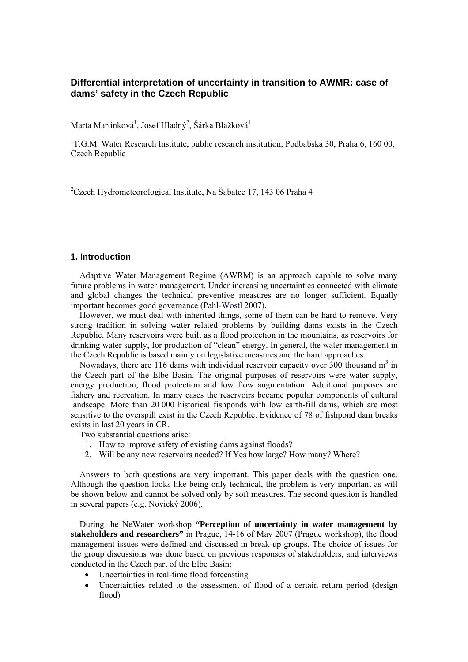# **Differential interpretation of uncertainty in transition to AWMR: case of dams' safety in the Czech Republic**

Marta Martínková<sup>1</sup>, Josef Hladný<sup>2</sup>, Šárka Blažková<sup>1</sup>

<sup>1</sup>T.G.M. Water Research Institute, public research institution, Podbabská 30, Praha 6, 160 00, Czech Republic

<sup>2</sup> Czech Hydrometeorological Institute, Na Šabatce 17, 143 06 Praha 4

### **1. Introduction**

Adaptive Water Management Regime (AWRM) is an approach capable to solve many future problems in water management. Under increasing uncertainties connected with climate and global changes the technical preventive measures are no longer sufficient. Equally important becomes good governance (Pahl-Wostl 2007).

However, we must deal with inherited things, some of them can be hard to remove. Very strong tradition in solving water related problems by building dams exists in the Czech Republic. Many reservoirs were built as a flood protection in the mountains, as reservoirs for drinking water supply, for production of "clean" energy. In general, the water management in the Czech Republic is based mainly on legislative measures and the hard approaches.

Nowadays, there are 116 dams with individual reservoir capacity over  $300$  thousand m<sup>3</sup> in the Czech part of the Elbe Basin. The original purposes of reservoirs were water supply, energy production, flood protection and low flow augmentation. Additional purposes are fishery and recreation. In many cases the reservoirs became popular components of cultural landscape. More than 20 000 historical fishponds with low earth-fill dams, which are most sensitive to the overspill exist in the Czech Republic. Evidence of 78 of fishpond dam breaks exists in last 20 years in CR.

Two substantial questions arise:

- 1. How to improve safety of existing dams against floods?
- 2. Will be any new reservoirs needed? If Yes how large? How many? Where?

Answers to both questions are very important. This paper deals with the question one. Although the question looks like being only technical, the problem is very important as will be shown below and cannot be solved only by soft measures. The second question is handled in several papers (e.g. Novický 2006).

During the NeWater workshop **"Perception of uncertainty in water management by stakeholders and researchers"** in Prague, 14-16 of May 2007 (Prague workshop), the flood management issues were defined and discussed in break-up groups. The choice of issues for the group discussions was done based on previous responses of stakeholders, and interviews conducted in the Czech part of the Elbe Basin:

- Uncertainties in real-time flood forecasting
- Uncertainties related to the assessment of flood of a certain return period (design flood)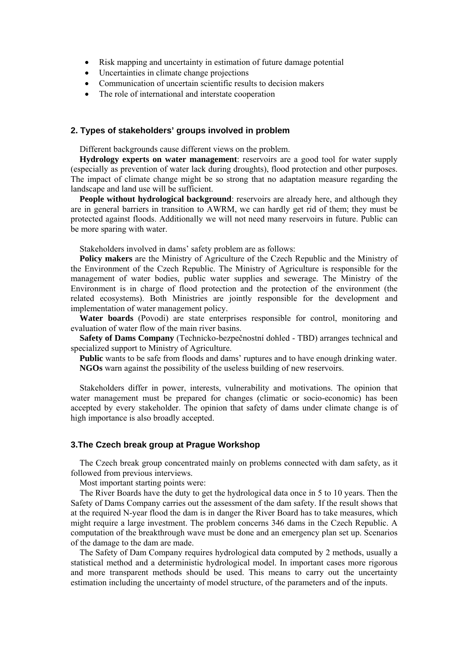- Risk mapping and uncertainty in estimation of future damage potential
- Uncertainties in climate change projections
- Communication of uncertain scientific results to decision makers
- The role of international and interstate cooperation

# **2. Types of stakeholders' groups involved in problem**

Different backgrounds cause different views on the problem.

**Hydrology experts on water management**: reservoirs are a good tool for water supply (especially as prevention of water lack during droughts), flood protection and other purposes. The impact of climate change might be so strong that no adaptation measure regarding the landscape and land use will be sufficient.

**People without hydrological background**: reservoirs are already here, and although they are in general barriers in transition to AWRM, we can hardly get rid of them; they must be protected against floods. Additionally we will not need many reservoirs in future. Public can be more sparing with water.

Stakeholders involved in dams' safety problem are as follows:

**Policy makers** are the Ministry of Agriculture of the Czech Republic and the Ministry of the Environment of the Czech Republic. The Ministry of Agriculture is responsible for the management of water bodies, public water supplies and sewerage. The Ministry of the Environment is in charge of flood protection and the protection of the environment (the related ecosystems). Both Ministries are jointly responsible for the development and implementation of water management policy.

**Water boards** (Povodi) are state enterprises responsible for control, monitoring and evaluation of water flow of the main river basins.

**Safety of Dams Company** (Technicko-bezpečnostní dohled - TBD) arranges technical and specialized support to Ministry of Agriculture.

**Public** wants to be safe from floods and dams' ruptures and to have enough drinking water. **NGOs** warn against the possibility of the useless building of new reservoirs.

Stakeholders differ in power, interests, vulnerability and motivations. The opinion that water management must be prepared for changes (climatic or socio-economic) has been accepted by every stakeholder. The opinion that safety of dams under climate change is of high importance is also broadly accepted.

# **3.The Czech break group at Prague Workshop**

The Czech break group concentrated mainly on problems connected with dam safety, as it followed from previous interviews.

Most important starting points were:

The River Boards have the duty to get the hydrological data once in 5 to 10 years. Then the Safety of Dams Company carries out the assessment of the dam safety. If the result shows that at the required N-year flood the dam is in danger the River Board has to take measures, which might require a large investment. The problem concerns 346 dams in the Czech Republic. A computation of the breakthrough wave must be done and an emergency plan set up. Scenarios of the damage to the dam are made.

The Safety of Dam Company requires hydrological data computed by 2 methods, usually a statistical method and a deterministic hydrological model. In important cases more rigorous and more transparent methods should be used. This means to carry out the uncertainty estimation including the uncertainty of model structure, of the parameters and of the inputs.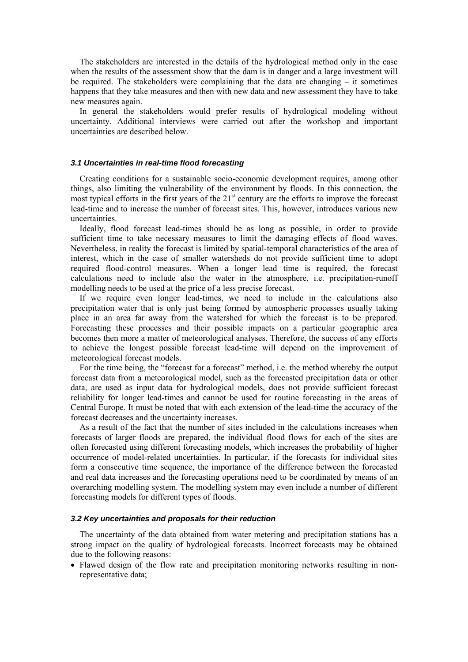The stakeholders are interested in the details of the hydrological method only in the case when the results of the assessment show that the dam is in danger and a large investment will be required. The stakeholders were complaining that the data are changing – it sometimes happens that they take measures and then with new data and new assessment they have to take new measures again.

In general the stakeholders would prefer results of hydrological modeling without uncertainty. Additional interviews were carried out after the workshop and important uncertainties are described below.

#### *3.1 Uncertainties in real-time flood forecasting*

Creating conditions for a sustainable socio-economic development requires, among other things, also limiting the vulnerability of the environment by floods. In this connection, the most typical efforts in the first years of the  $21<sup>st</sup>$  century are the efforts to improve the forecast lead-time and to increase the number of forecast sites. This, however, introduces various new uncertainties.

Ideally, flood forecast lead-times should be as long as possible, in order to provide sufficient time to take necessary measures to limit the damaging effects of flood waves. Nevertheless, in reality the forecast is limited by spatial-temporal characteristics of the area of interest, which in the case of smaller watersheds do not provide sufficient time to adopt required flood-control measures. When a longer lead time is required, the forecast calculations need to include also the water in the atmosphere, i.e. precipitation-runoff modelling needs to be used at the price of a less precise forecast.

If we require even longer lead-times, we need to include in the calculations also precipitation water that is only just being formed by atmospheric processes usually taking place in an area far away from the watershed for which the forecast is to be prepared. Forecasting these processes and their possible impacts on a particular geographic area becomes then more a matter of meteorological analyses. Therefore, the success of any efforts to achieve the longest possible forecast lead-time will depend on the improvement of meteorological forecast models.

For the time being, the "forecast for a forecast" method, i.e. the method whereby the output forecast data from a meteorological model, such as the forecasted precipitation data or other data, are used as input data for hydrological models, does not provide sufficient forecast reliability for longer lead-times and cannot be used for routine forecasting in the areas of Central Europe. It must be noted that with each extension of the lead-time the accuracy of the forecast decreases and the uncertainty increases.

As a result of the fact that the number of sites included in the calculations increases when forecasts of larger floods are prepared, the individual flood flows for each of the sites are often forecasted using different forecasting models, which increases the probability of higher occurrence of model-related uncertainties. In particular, if the forecasts for individual sites form a consecutive time sequence, the importance of the difference between the forecasted and real data increases and the forecasting operations need to be coordinated by means of an overarching modelling system. The modelling system may even include a number of different forecasting models for different types of floods.

#### *3.2 Key uncertainties and proposals for their reduction*

The uncertainty of the data obtained from water metering and precipitation stations has a strong impact on the quality of hydrological forecasts. Incorrect forecasts may be obtained due to the following reasons:

• Flawed design of the flow rate and precipitation monitoring networks resulting in nonrepresentative data;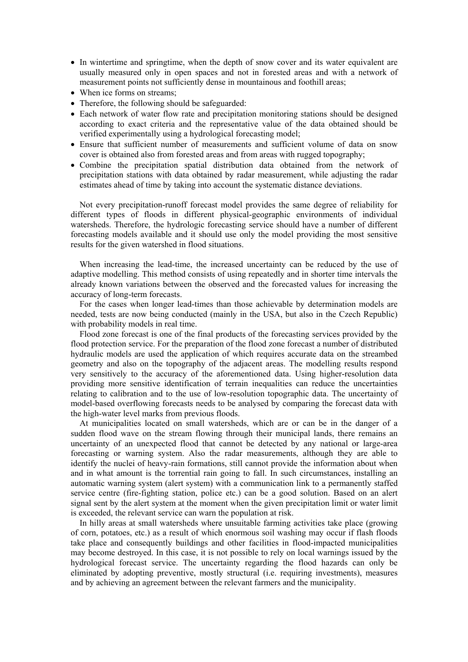- In wintertime and springtime, when the depth of snow cover and its water equivalent are usually measured only in open spaces and not in forested areas and with a network of measurement points not sufficiently dense in mountainous and foothill areas;
- When ice forms on streams:
- Therefore, the following should be safeguarded:
- Each network of water flow rate and precipitation monitoring stations should be designed according to exact criteria and the representative value of the data obtained should be verified experimentally using a hydrological forecasting model;
- Ensure that sufficient number of measurements and sufficient volume of data on snow cover is obtained also from forested areas and from areas with rugged topography;
- Combine the precipitation spatial distribution data obtained from the network of precipitation stations with data obtained by radar measurement, while adjusting the radar estimates ahead of time by taking into account the systematic distance deviations.

Not every precipitation-runoff forecast model provides the same degree of reliability for different types of floods in different physical-geographic environments of individual watersheds. Therefore, the hydrologic forecasting service should have a number of different forecasting models available and it should use only the model providing the most sensitive results for the given watershed in flood situations.

When increasing the lead-time, the increased uncertainty can be reduced by the use of adaptive modelling. This method consists of using repeatedly and in shorter time intervals the already known variations between the observed and the forecasted values for increasing the accuracy of long-term forecasts.

For the cases when longer lead-times than those achievable by determination models are needed, tests are now being conducted (mainly in the USA, but also in the Czech Republic) with probability models in real time.

Flood zone forecast is one of the final products of the forecasting services provided by the flood protection service. For the preparation of the flood zone forecast a number of distributed hydraulic models are used the application of which requires accurate data on the streambed geometry and also on the topography of the adjacent areas. The modelling results respond very sensitively to the accuracy of the aforementioned data. Using higher-resolution data providing more sensitive identification of terrain inequalities can reduce the uncertainties relating to calibration and to the use of low-resolution topographic data. The uncertainty of model-based overflowing forecasts needs to be analysed by comparing the forecast data with the high-water level marks from previous floods.

At municipalities located on small watersheds, which are or can be in the danger of a sudden flood wave on the stream flowing through their municipal lands, there remains an uncertainty of an unexpected flood that cannot be detected by any national or large-area forecasting or warning system. Also the radar measurements, although they are able to identify the nuclei of heavy-rain formations, still cannot provide the information about when and in what amount is the torrential rain going to fall. In such circumstances, installing an automatic warning system (alert system) with a communication link to a permanently staffed service centre (fire-fighting station, police etc.) can be a good solution. Based on an alert signal sent by the alert system at the moment when the given precipitation limit or water limit is exceeded, the relevant service can warn the population at risk.

In hilly areas at small watersheds where unsuitable farming activities take place (growing of corn, potatoes, etc.) as a result of which enormous soil washing may occur if flash floods take place and consequently buildings and other facilities in flood-impacted municipalities may become destroyed. In this case, it is not possible to rely on local warnings issued by the hydrological forecast service. The uncertainty regarding the flood hazards can only be eliminated by adopting preventive, mostly structural (i.e. requiring investments), measures and by achieving an agreement between the relevant farmers and the municipality.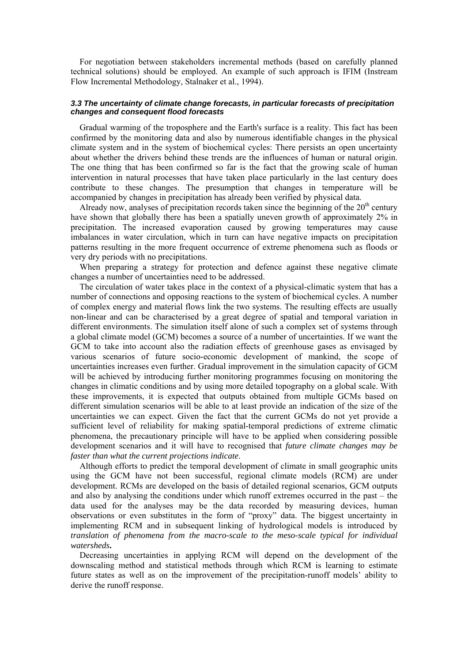For negotiation between stakeholders incremental methods (based on carefully planned technical solutions) should be employed. An example of such approach is IFIM (Instream Flow Incremental Methodology, Stalnaker et al., 1994).

#### *3.3 The uncertainty of climate change forecasts, in particular forecasts of precipitation changes and consequent flood forecasts*

Gradual warming of the troposphere and the Earth's surface is a reality. This fact has been confirmed by the monitoring data and also by numerous identifiable changes in the physical climate system and in the system of biochemical cycles: There persists an open uncertainty about whether the drivers behind these trends are the influences of human or natural origin. The one thing that has been confirmed so far is the fact that the growing scale of human intervention in natural processes that have taken place particularly in the last century does contribute to these changes. The presumption that changes in temperature will be accompanied by changes in precipitation has already been verified by physical data.

Already now, analyses of precipitation records taken since the beginning of the  $20<sup>th</sup>$  century have shown that globally there has been a spatially uneven growth of approximately 2% in precipitation. The increased evaporation caused by growing temperatures may cause imbalances in water circulation, which in turn can have negative impacts on precipitation patterns resulting in the more frequent occurrence of extreme phenomena such as floods or very dry periods with no precipitations.

When preparing a strategy for protection and defence against these negative climate changes a number of uncertainties need to be addressed.

The circulation of water takes place in the context of a physical-climatic system that has a number of connections and opposing reactions to the system of biochemical cycles. A number of complex energy and material flows link the two systems. The resulting effects are usually non-linear and can be characterised by a great degree of spatial and temporal variation in different environments. The simulation itself alone of such a complex set of systems through a global climate model (GCM) becomes a source of a number of uncertainties. If we want the GCM to take into account also the radiation effects of greenhouse gases as envisaged by various scenarios of future socio-economic development of mankind, the scope of uncertainties increases even further. Gradual improvement in the simulation capacity of GCM will be achieved by introducing further monitoring programmes focusing on monitoring the changes in climatic conditions and by using more detailed topography on a global scale. With these improvements, it is expected that outputs obtained from multiple GCMs based on different simulation scenarios will be able to at least provide an indication of the size of the uncertainties we can expect. Given the fact that the current GCMs do not yet provide a sufficient level of reliability for making spatial-temporal predictions of extreme climatic phenomena, the precautionary principle will have to be applied when considering possible development scenarios and it will have to recognised that *future climate changes may be faster than what the current projections indicate*.

Although efforts to predict the temporal development of climate in small geographic units using the GCM have not been successful, regional climate models (RCM) are under development. RCMs are developed on the basis of detailed regional scenarios, GCM outputs and also by analysing the conditions under which runoff extremes occurred in the past – the data used for the analyses may be the data recorded by measuring devices, human observations or even substitutes in the form of "proxy" data. The biggest uncertainty in implementing RCM and in subsequent linking of hydrological models is introduced by *translation of phenomena from the macro-scale to the meso-scale typical for individual watersheds***.**

Decreasing uncertainties in applying RCM will depend on the development of the downscaling method and statistical methods through which RCM is learning to estimate future states as well as on the improvement of the precipitation-runoff models' ability to derive the runoff response.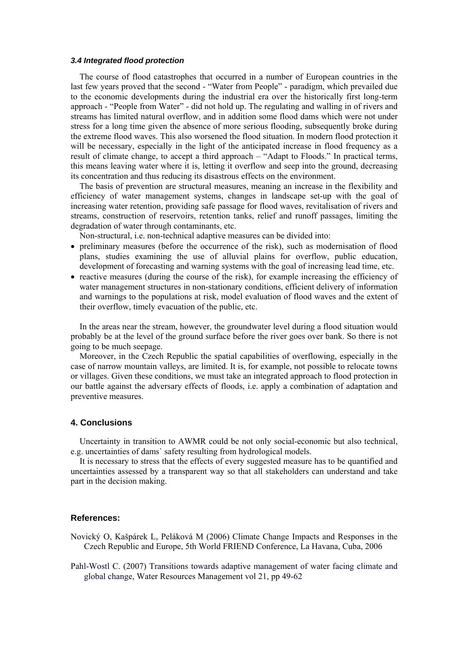#### *3.4 Integrated flood protection*

The course of flood catastrophes that occurred in a number of European countries in the last few years proved that the second - "Water from People" - paradigm, which prevailed due to the economic developments during the industrial era over the historically first long-term approach - "People from Water" - did not hold up. The regulating and walling in of rivers and streams has limited natural overflow, and in addition some flood dams which were not under stress for a long time given the absence of more serious flooding, subsequently broke during the extreme flood waves. This also worsened the flood situation. In modern flood protection it will be necessary, especially in the light of the anticipated increase in flood frequency as a result of climate change, to accept a third approach – "Adapt to Floods." In practical terms, this means leaving water where it is, letting it overflow and seep into the ground, decreasing its concentration and thus reducing its disastrous effects on the environment.

The basis of prevention are structural measures, meaning an increase in the flexibility and efficiency of water management systems, changes in landscape set-up with the goal of increasing water retention, providing safe passage for flood waves, revitalisation of rivers and streams, construction of reservoirs, retention tanks, relief and runoff passages, limiting the degradation of water through contaminants, etc.

Non-structural, i.e. non-technical adaptive measures can be divided into:

- preliminary measures (before the occurrence of the risk), such as modernisation of flood plans, studies examining the use of alluvial plains for overflow, public education, development of forecasting and warning systems with the goal of increasing lead time, etc.
- reactive measures (during the course of the risk), for example increasing the efficiency of water management structures in non-stationary conditions, efficient delivery of information and warnings to the populations at risk, model evaluation of flood waves and the extent of their overflow, timely evacuation of the public, etc.

In the areas near the stream, however, the groundwater level during a flood situation would probably be at the level of the ground surface before the river goes over bank. So there is not going to be much seepage.

Moreover, in the Czech Republic the spatial capabilities of overflowing, especially in the case of narrow mountain valleys, are limited. It is, for example, not possible to relocate towns or villages. Given these conditions, we must take an integrated approach to flood protection in our battle against the adversary effects of floods, i.e. apply a combination of adaptation and preventive measures.

# **4. Conclusions**

Uncertainty in transition to AWMR could be not only social-economic but also technical, e.g. uncertainties of dams` safety resulting from hydrological models.

It is necessary to stress that the effects of every suggested measure has to be quantified and uncertainties assessed by a transparent way so that all stakeholders can understand and take part in the decision making.

#### **References:**

- Novický O, Kašpárek L, Peláková M (2006) Climate Change Impacts and Responses in the Czech Republic and Europe, 5th World FRIEND Conference, La Havana, Cuba, 2006
- Pahl-Wostl C. (2007) Transitions towards adaptive management of water facing climate and global change, Water Resources Management vol 21, pp 49-62